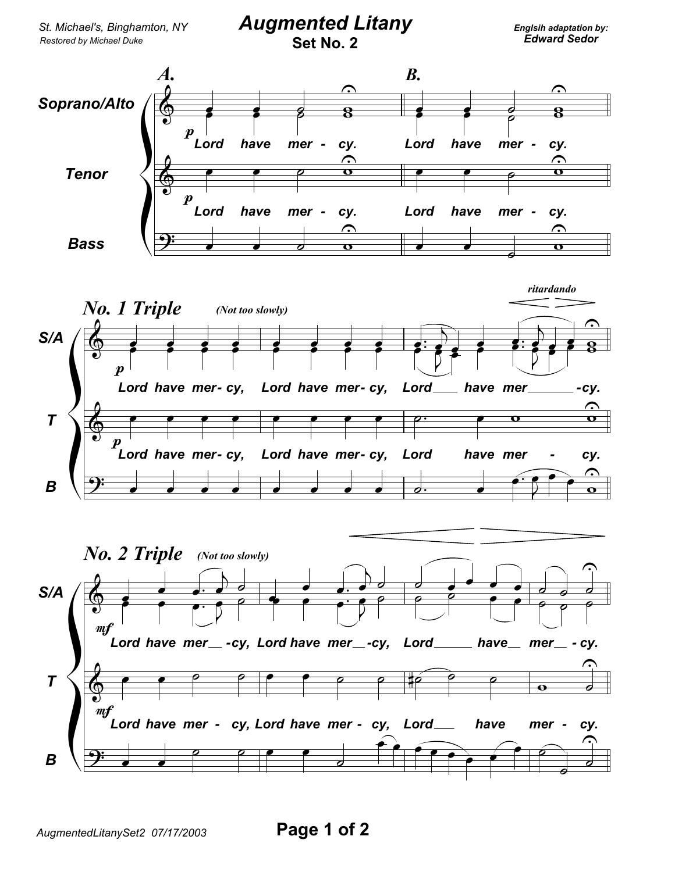## *Augmented Litany*

*Englsih adaptation by: Edward Sedor*